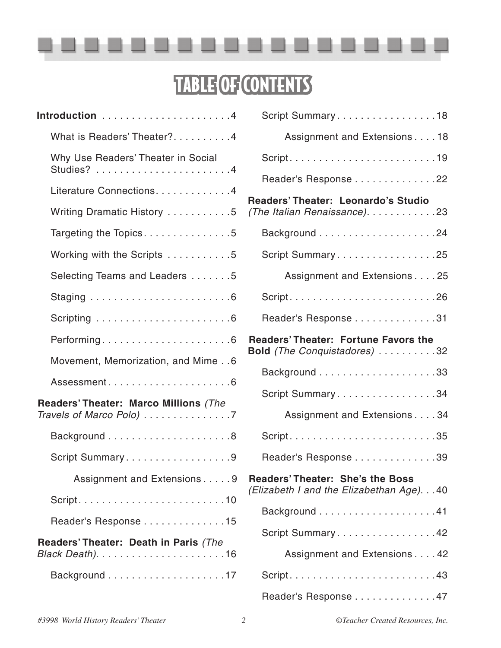

# TABLE OF CONTENTS

| Script Summary18                                                                     |
|--------------------------------------------------------------------------------------|
| Assignment and Extensions 18                                                         |
|                                                                                      |
| Reader's Response 22                                                                 |
| Readers' Theater: Leonardo's Studio<br>(The Italian Renaissance). 23                 |
|                                                                                      |
| Script Summary25                                                                     |
| Assignment and Extensions 25                                                         |
|                                                                                      |
| Reader's Response 31                                                                 |
| <b>Readers' Theater: Fortune Favors the</b><br>Bold (The Conquistadores) 32          |
|                                                                                      |
| Script Summary34                                                                     |
| Assignment and Extensions 34                                                         |
|                                                                                      |
| Reader's Response 39                                                                 |
| <b>Readers' Theater: She's the Boss</b><br>(Elizabeth I and the Elizabethan Age). 40 |
|                                                                                      |
| Script Summary42                                                                     |
| Assignment and Extensions 42                                                         |
|                                                                                      |
| Reader's Response 47                                                                 |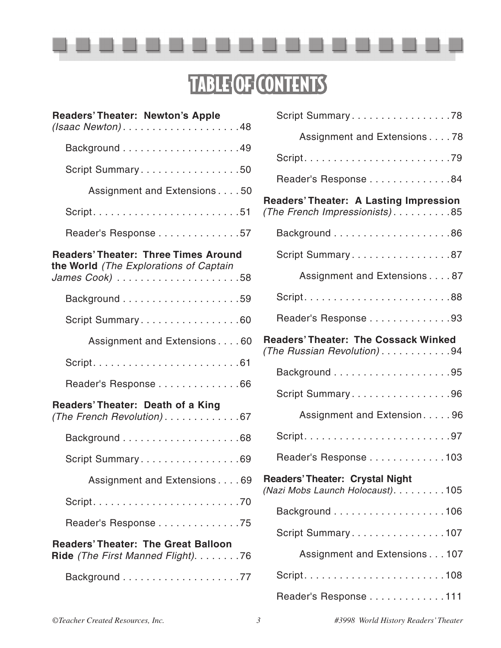

### TABLE OF CONTENTS

| <b>Readers' Theater: Newton's Apple</b><br>$(Isaac Newton) \ldots \ldots \ldots \ldots \ldots \ldots 48$ | Script Summary78                                                            |
|----------------------------------------------------------------------------------------------------------|-----------------------------------------------------------------------------|
|                                                                                                          | Assignment and Extensions 78                                                |
|                                                                                                          |                                                                             |
| Script Summary50                                                                                         | Reader's Response 84                                                        |
| Assignment and Extensions50                                                                              | <b>Readers' Theater: A Lasting Impression</b>                               |
|                                                                                                          | (The French Impressionists)85                                               |
| Reader's Response 57                                                                                     |                                                                             |
| <b>Readers' Theater: Three Times Around</b>                                                              | Script Summary87                                                            |
| the World (The Explorations of Captain                                                                   | Assignment and Extensions 87                                                |
|                                                                                                          |                                                                             |
| Script Summary60                                                                                         | Reader's Response 93                                                        |
| Assignment and Extensions 60                                                                             | <b>Readers' Theater: The Cossack Winked</b><br>(The Russian Revolution)94   |
|                                                                                                          |                                                                             |
| Reader's Response 66                                                                                     | Script Summary96                                                            |
| Readers' Theater: Death of a King<br>(The French Revolution)67                                           | Assignment and Extension96                                                  |
|                                                                                                          |                                                                             |
| Script Summary69                                                                                         | Reader's Response 103                                                       |
| Assignment and Extensions 69                                                                             | <b>Readers' Theater: Crystal Night</b><br>(Nazi Mobs Launch Holocaust). 105 |
|                                                                                                          |                                                                             |
| Reader's Response 75                                                                                     | Script Summary107                                                           |
| <b>Readers' Theater: The Great Balloon</b><br>Ride (The First Manned Flight). 76                         | Assignment and Extensions 107                                               |
|                                                                                                          | $Script. \ldots \ldots \ldots \ldots \ldots \ldots \ldots \ldots 108$       |
|                                                                                                          | Reader's Response 111                                                       |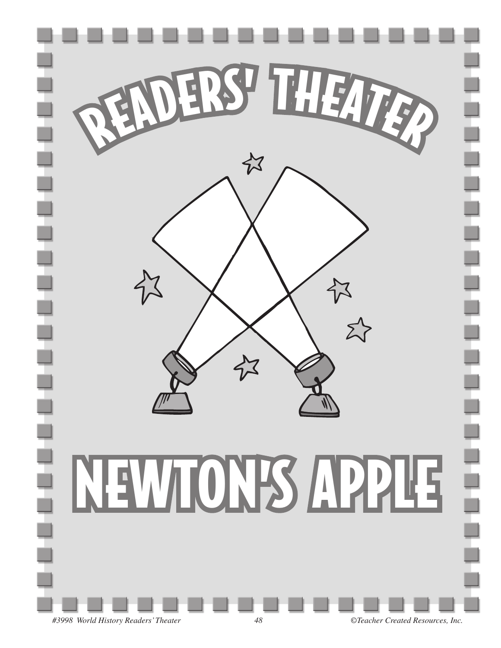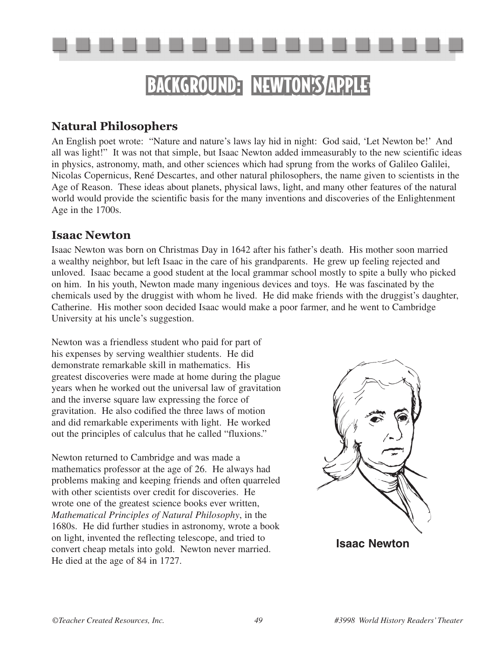

# BACKGROUND: NEWTON'S APPLE

### **Natural Philosophers**

An English poet wrote: "Nature and nature's laws lay hid in night: God said, 'Let Newton be!' And all was light!" It was not that simple, but Isaac Newton added immeasurably to the new scientific ideas in physics, astronomy, math, and other sciences which had sprung from the works of Galileo Galilei, Nicolas Copernicus, René Descartes, and other natural philosophers, the name given to scientists in the Age of Reason. These ideas about planets, physical laws, light, and many other features of the natural world would provide the scientific basis for the many inventions and discoveries of the Enlightenment Age in the 1700s.

### **Isaac Newton**

Isaac Newton was born on Christmas Day in 1642 after his father's death. His mother soon married a wealthy neighbor, but left Isaac in the care of his grandparents. He grew up feeling rejected and unloved. Isaac became a good student at the local grammar school mostly to spite a bully who picked on him. In his youth, Newton made many ingenious devices and toys. He was fascinated by the chemicals used by the druggist with whom he lived. He did make friends with the druggist's daughter, Catherine. His mother soon decided Isaac would make a poor farmer, and he went to Cambridge University at his uncle's suggestion.

Newton was a friendless student who paid for part of his expenses by serving wealthier students. He did demonstrate remarkable skill in mathematics. His greatest discoveries were made at home during the plague years when he worked out the universal law of gravitation and the inverse square law expressing the force of gravitation. He also codified the three laws of motion and did remarkable experiments with light. He worked out the principles of calculus that he called "fluxions."

Newton returned to Cambridge and was made a mathematics professor at the age of 26. He always had problems making and keeping friends and often quarreled with other scientists over credit for discoveries. He wrote one of the greatest science books ever written, *Mathematical Principles of Natural Philosophy*, in the 1680s. He did further studies in astronomy, wrote a book on light, invented the reflecting telescope, and tried to convert cheap metals into gold. Newton never married. He died at the age of 84 in 1727.



**Isaac Newton**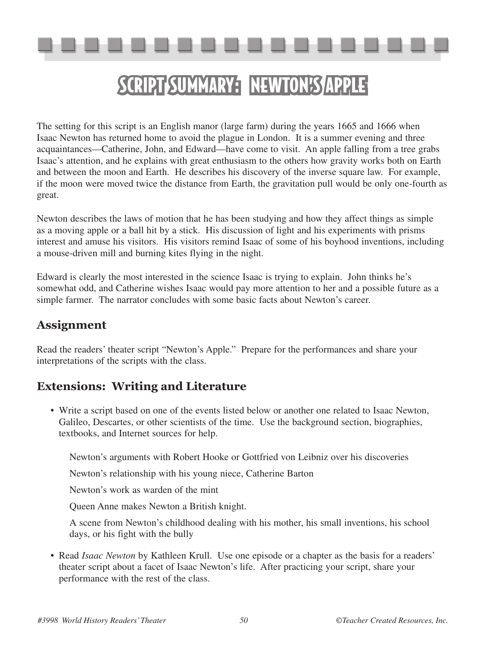# SCRIPT SUMMARY: NEWTON'S APPLE

The setting for this script is an English manor (large farm) during the years 1665 and 1666 when Isaac Newton has returned home to avoid the plague in London. It is a summer evening and three acquaintances—Catherine, John, and Edward—have come to visit. An apple falling from a tree grabs Isaac's attention, and he explains with great enthusiasm to the others how gravity works both on Earth and between the moon and Earth. He describes his discovery of the inverse square law. For example, if the moon were moved twice the distance from Earth, the gravitation pull would be only one-fourth as great.

Newton describes the laws of motion that he has been studying and how they affect things as simple as a moving apple or a ball hit by a stick. His discussion of light and his experiments with prisms interest and amuse his visitors. His visitors remind Isaac of some of his boyhood inventions, including a mouse-driven mill and burning kites flying in the night.

Edward is clearly the most interested in the science Isaac is trying to explain. John thinks he's somewhat odd, and Catherine wishes Isaac would pay more attention to her and a possible future as a simple farmer. The narrator concludes with some basic facts about Newton's career.

### **Assignment**

Read the readers' theater script "Newton's Apple." Prepare for the performances and share your interpretations of the scripts with the class.

### **Extensions: Writing and Literature**

• Write a script based on one of the events listed below or another one related to Isaac Newton, Galileo, Descartes, or other scientists of the time. Use the background section, biographies, textbooks, and Internet sources for help.

Newton's arguments with Robert Hooke or Gottfried von Leibniz over his discoveries

Newton's relationship with his young niece, Catherine Barton

Newton's work as warden of the mint

Queen Anne makes Newton a British knight.

 A scene from Newton's childhood dealing with his mother, his small inventions, his school days, or his fight with the bully

• Read *Isaac Newton* by Kathleen Krull. Use one episode or a chapter as the basis for a readers' theater script about a facet of Isaac Newton's life. After practicing your script, share your performance with the rest of the class.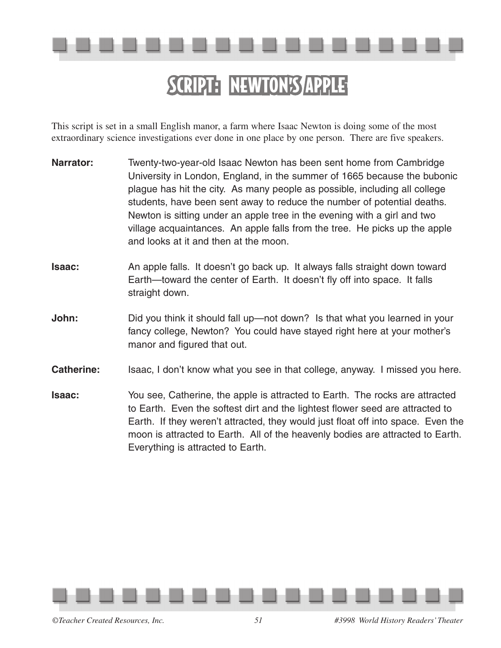

# SCRIPT: NEWTON'S APPLE

This script is set in a small English manor, a farm where Isaac Newton is doing some of the most extraordinary science investigations ever done in one place by one person. There are five speakers.

- **Narrator:** Twenty-two-year-old Isaac Newton has been sent home from Cambridge University in London, England, in the summer of 1665 because the bubonic plague has hit the city. As many people as possible, including all college students, have been sent away to reduce the number of potential deaths. Newton is sitting under an apple tree in the evening with a girl and two village acquaintances. An apple falls from the tree. He picks up the apple and looks at it and then at the moon.
- **Isaac:** An apple falls. It doesn't go back up. It always falls straight down toward Earth—toward the center of Earth. It doesn't fly off into space. It falls straight down.
- **John:** Did you think it should fall up—not down? Is that what you learned in your fancy college, Newton? You could have stayed right here at your mother's manor and figured that out.
- **Catherine:** Isaac, I don't know what you see in that college, anyway. I missed you here.
- **Isaac:** You see, Catherine, the apple is attracted to Earth. The rocks are attracted to Earth. Even the softest dirt and the lightest flower seed are attracted to Earth. If they weren't attracted, they would just float off into space. Even the moon is attracted to Earth. All of the heavenly bodies are attracted to Earth. Everything is attracted to Earth.

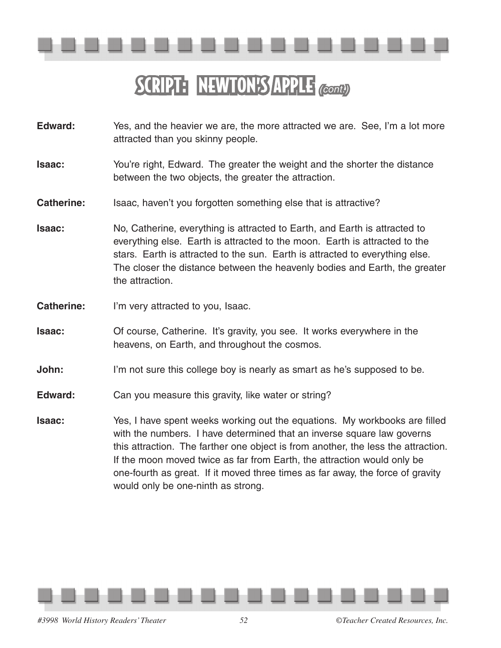

# SCRIPT: NEWTON'S APPLE *(cont.)*

- **Edward:** Yes, and the heavier we are, the more attracted we are. See, I'm a lot more attracted than you skinny people.
- **Isaac:** You're right, Edward. The greater the weight and the shorter the distance between the two objects, the greater the attraction.

#### **Catherine:** Isaac, haven't you forgotten something else that is attractive?

- **Isaac:** No, Catherine, everything is attracted to Earth, and Earth is attracted to everything else. Earth is attracted to the moon. Earth is attracted to the stars. Earth is attracted to the sun. Earth is attracted to everything else. The closer the distance between the heavenly bodies and Earth, the greater the attraction.
- **Catherine:** I'm very attracted to you, Isaac.
- **Isaac: Of course, Catherine. It's gravity, you see. It works everywhere in the** heavens, on Earth, and throughout the cosmos.
- **John:** I'm not sure this college boy is nearly as smart as he's supposed to be.
- **Edward:** Can you measure this gravity, like water or string?
- **Isaac:** Yes, I have spent weeks working out the equations. My workbooks are filled with the numbers. I have determined that an inverse square law governs this attraction. The farther one object is from another, the less the attraction. If the moon moved twice as far from Earth, the attraction would only be one-fourth as great. If it moved three times as far away, the force of gravity would only be one-ninth as strong.